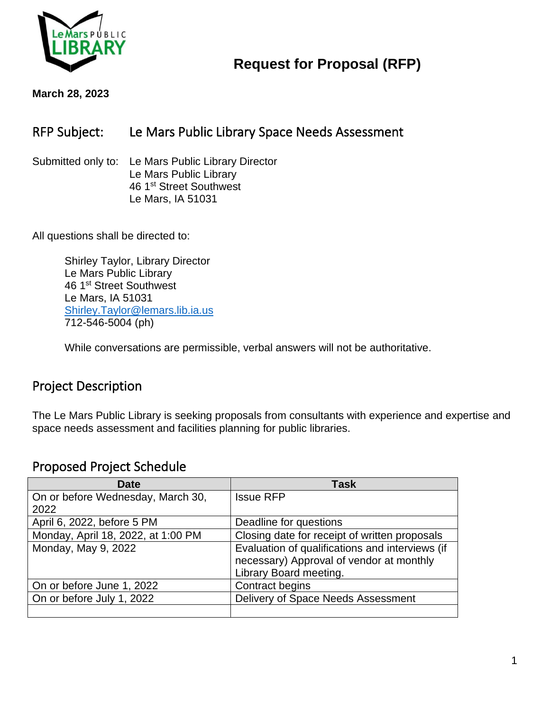

# **Request for Proposal (RFP)**

**March 28, 2023**

### RFP Subject: Le Mars Public Library Space Needs Assessment

Submitted only to: Le Mars Public Library Director Le Mars Public Library 46 1<sup>st</sup> Street Southwest Le Mars, IA 51031

All questions shall be directed to:

Shirley Taylor, Library Director Le Mars Public Library 46 1st Street Southwest Le Mars, IA 51031 [Shirley.Taylor@lemars.lib.ia.us](mailto:Shirley.Taylor@lemars.lib.ia.us) 712-546-5004 (ph)

While conversations are permissible, verbal answers will not be authoritative.

#### Project Description

The Le Mars Public Library is seeking proposals from consultants with experience and expertise and space needs assessment and facilities planning for public libraries.

#### Proposed Project Schedule

| <b>Date</b>                        | Task                                            |
|------------------------------------|-------------------------------------------------|
| On or before Wednesday, March 30,  | <b>Issue RFP</b>                                |
| 2022                               |                                                 |
| April 6, 2022, before 5 PM         | Deadline for questions                          |
| Monday, April 18, 2022, at 1:00 PM | Closing date for receipt of written proposals   |
| Monday, May 9, 2022                | Evaluation of qualifications and interviews (if |
|                                    | necessary) Approval of vendor at monthly        |
|                                    | Library Board meeting.                          |
| On or before June 1, 2022          | Contract begins                                 |
| On or before July 1, 2022          | Delivery of Space Needs Assessment              |
|                                    |                                                 |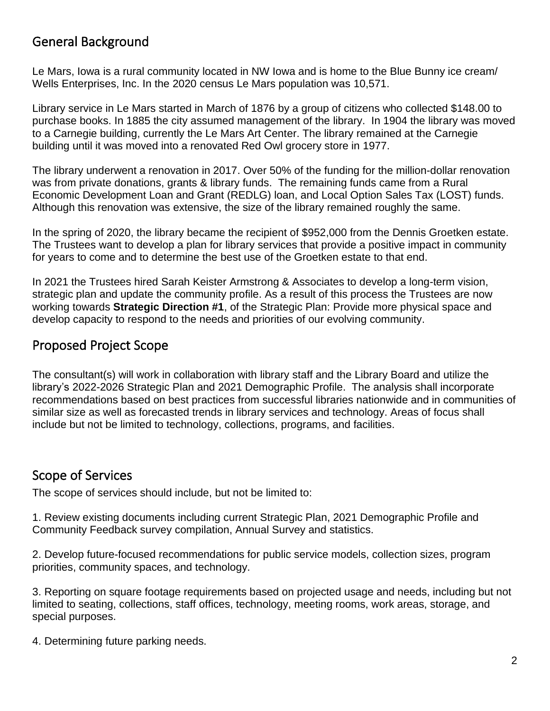## General Background

Le Mars, Iowa is a rural community located in NW Iowa and is home to the Blue Bunny ice cream/ Wells Enterprises, Inc. In the 2020 census Le Mars population was 10,571.

Library service in Le Mars started in March of 1876 by a group of citizens who collected \$148.00 to purchase books. In 1885 the city assumed management of the library. In 1904 the library was moved to a Carnegie building, currently the Le Mars Art Center. The library remained at the Carnegie building until it was moved into a renovated Red Owl grocery store in 1977.

The library underwent a renovation in 2017. Over 50% of the funding for the million-dollar renovation was from private donations, grants & library funds. The remaining funds came from a Rural Economic Development Loan and Grant (REDLG) loan, and Local Option Sales Tax (LOST) funds. Although this renovation was extensive, the size of the library remained roughly the same.

In the spring of 2020, the library became the recipient of \$952,000 from the Dennis Groetken estate. The Trustees want to develop a plan for library services that provide a positive impact in community for years to come and to determine the best use of the Groetken estate to that end.

In 2021 the Trustees hired Sarah Keister Armstrong & Associates to develop a long-term vision, strategic plan and update the community profile. As a result of this process the Trustees are now working towards **Strategic Direction #1**, of the Strategic Plan: Provide more physical space and develop capacity to respond to the needs and priorities of our evolving community.

### Proposed Project Scope

The consultant(s) will work in collaboration with library staff and the Library Board and utilize the library's 2022-2026 Strategic Plan and 2021 Demographic Profile. The analysis shall incorporate recommendations based on best practices from successful libraries nationwide and in communities of similar size as well as forecasted trends in library services and technology. Areas of focus shall include but not be limited to technology, collections, programs, and facilities.

#### Scope of Services

The scope of services should include, but not be limited to:

1. Review existing documents including current Strategic Plan, 2021 Demographic Profile and Community Feedback survey compilation, Annual Survey and statistics.

2. Develop future-focused recommendations for public service models, collection sizes, program priorities, community spaces, and technology.

3. Reporting on square footage requirements based on projected usage and needs, including but not limited to seating, collections, staff offices, technology, meeting rooms, work areas, storage, and special purposes.

4. Determining future parking needs.